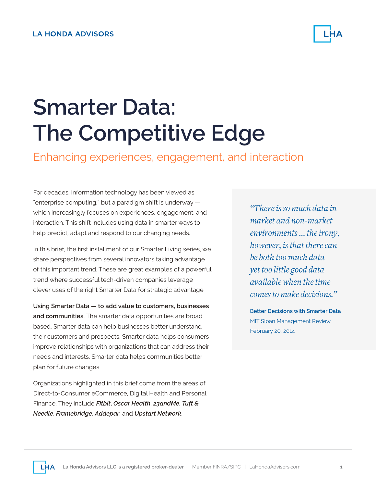

# **Smarter Data: The Competitive Edge**

Enhancing experiences, engagement, and interaction

For decades, information technology has been viewed as "enterprise computing," but a paradigm shift is underway which increasingly focuses on experiences, engagement, and interaction. This shift includes using data in smarter ways to help predict, adapt and respond to our changing needs.

In this brief, the first installment of our Smarter Living series, we share perspectives from several innovators taking advantage of this important trend. These are great examples of a powerful trend where successful tech-driven companies leverage clever uses of the right Smarter Data for strategic advantage.

**Using Smarter Data — to add value to customers, businesses and communities.** The smarter data opportunities are broad based. Smarter data can help businesses better understand their customers and prospects. Smarter data helps consumers improve relationships with organizations that can address their needs and interests. Smarter data helps communities better plan for future changes.

Organizations highlighted in this brief come from the areas of Direct-to-Consumer eCommerce, Digital Health and Personal Finance. They include *Fitbit***,** *Oscar Health*, *23andMe*, *Tuft & Needle*, *Framebridge*, *Addepar*, and *Upstart Network*.

*"There is so much data in market and non-market environments … the irony, however, is that there can be both too much data yet too little good data available when the time comes to make decisions."*

**Better Decisions with Smarter Data** MIT Sloan Management Review February 20, 2014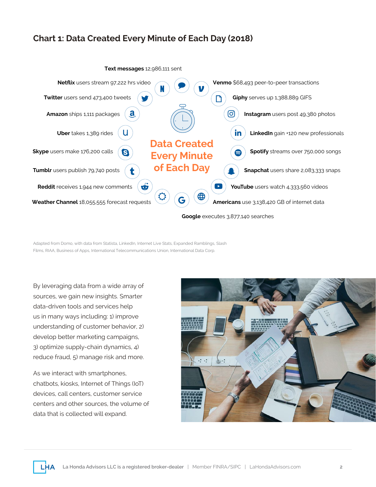#### **Chart 1: Data Created Every Minute of Each Day (2018)**



Adapted from Domo, with data from Statista, LinkedIn, Internet Live Stats, Expanded Ramblings, Slash Films, RIAA, Business of Apps, International Telecommunications Union, International Data Corp.

By leveraging data from a wide array of sources, we gain new insights. Smarter data-driven tools and services help us in many ways including: 1) improve understanding of customer behavior, 2) develop better marketing campaigns, 3) optimize supply-chain dynamics, 4) reduce fraud, 5) manage risk and more.

As we interact with smartphones, chatbots, kiosks, Internet of Things (IoT) devices, call centers, customer service centers and other sources, the volume of data that is collected will expand.

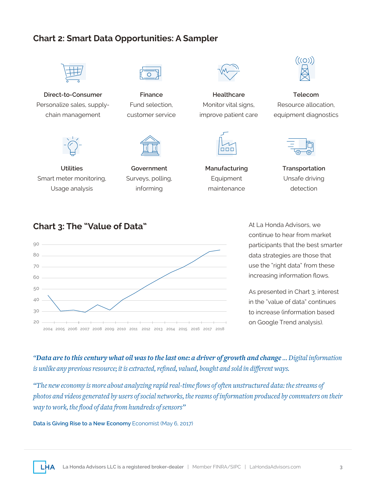#### **Chart 2: Smart Data Opportunities: A Sampler**



**Direct-to-Consumer**  Personalize sales, supplychain management



**Utilities** Smart meter monitoring, Usage analysis



**Finance** Fund selection, customer service



**Government** Surveys, polling, informing



**Healthcare** Monitor vital signs, improve patient care



**Manufacturing** Equipment maintenance



**Telecom** Resource allocation, equipment diagnostics



**Transportation** Unsafe driving detection

#### **Chart 3: The "Value of Data"**



At La Honda Advisors, we continue to hear from market participants that the best smarter data strategies are those that use the "right data" from these increasing information flows.

As presented in Chart 3, interest in the "value of data" continues to increase (information based on Google Trend analysis).

*"Data are to this century what oil was to the last one: a driver of growth and change … Digital information is unlike any previous resource; it is extracted, refined, valued, bought and sold in different ways.*

*"The new economy is more about analyzing rapid real-time flows of often unstructured data: the streams of photos and videos generated by users of social networks, the reams of information produced by commuters on their way to work, the flood of data from hundreds of sensors"*

**Data is Giving Rise to a New Economy Economist (May 6, 2017)**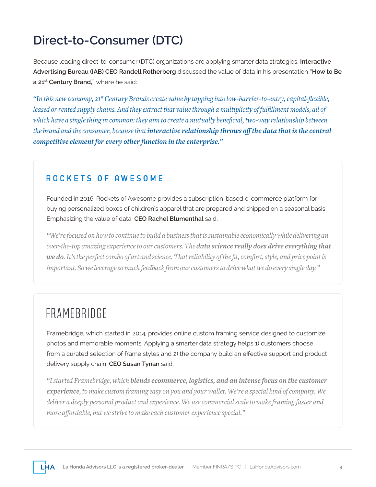### **Direct-to-Consumer (DTC)**

Because leading direct-to-consumer (DTC) organizations are applying smarter data strategies, **Interactive Advertising Bureau (IAB) CEO Randell Rotherberg** discussed the value of data in his presentation **"How to Be a 21st Century Brand,"** where he said:

*"In this new economy, 21st Century Brands create value by tapping into low-barrier-to-entry, capital-flexible, leased or rented supply chains. And they extract that value through a multiplicity of fulfillment models, all of which have a single thing in common: they aim to create a mutually beneficial, two-way relationship between the brand and the consumer, because that interactive relationship throws off the data that is the central competitive element for every other function in the enterprise."*

#### ROCKETS OF AWESOME

Founded in 2016, Rockets of Awesome provides a subscription-based e-commerce platform for buying personalized boxes of children's apparel that are prepared and shipped on a seasonal basis. Emphasizing the value of data, **CEO Rachel Blumenthal** said,

*"We're focused on how to continue to build a business that is sustainable economically while delivering an over-the-top amazing experience to our customers. The data science really does drive everything that we do. It's the perfect combo of art and science. That reliability of the fit, comfort, style, and price point is important. So we leverage so much feedback from our customers to drive what we do every single day."*

### FRAMEBRIDGE

Framebridge, which started in 2014, provides online custom framing service designed to customize photos and memorable moments. Applying a smarter data strategy helps 1) customers choose from a curated selection of frame styles and 2) the company build an effective support and product delivery supply chain. **CEO Susan Tynan** said:

*"I started Framebridge, which blends ecommerce, logistics, and an intense focus on the customer experience, to make custom framing easy on you and your wallet. We're a special kind of company. We deliver a deeply personal product and experience. We use commercial scale to make framing faster and more affordable, but we strive to make each customer experience special."*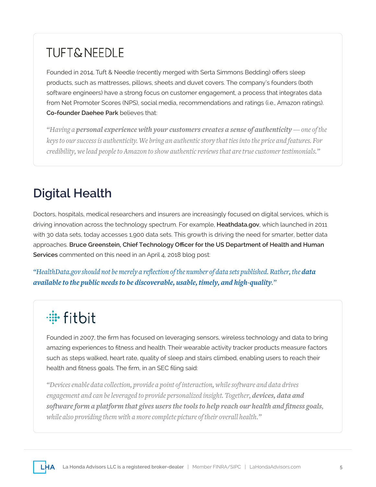### **TUFT&NEEDLE**

Founded in 2014, Tuft & Needle (recently merged with Serta Simmons Bedding) offers sleep products, such as mattresses, pillows, sheets and duvet covers. The company's founders (both software engineers) have a strong focus on customer engagement, a process that integrates data from Net Promoter Scores (NPS), social media, recommendations and ratings (i.e., Amazon ratings). **Co-founder Daehee Park** believes that:

*"Having a personal experience with your customers creates a sense of authenticity — one of the keys to our success is authenticity. We bring an authentic story that ties into the price and features. For credibility, we lead people to Amazon to show authentic reviews that are true customer testimonials."* 

### **Digital Health**

Doctors, hospitals, medical researchers and insurers are increasingly focused on digital services, which is driving innovation across the technology spectrum. For example, **Heathdata.gov**, which launched in 2011 with 30 data sets, today accesses 1,900 data sets. This growth is driving the need for smarter, better data approaches. **Bruce Greenstein, Chief Technology Officer for the US Department of Health and Human Services** commented on this need in an April 4, 2018 blog post:

*"HealthData.gov should not be merely a reflection of the number of data sets published. Rather, the data available to the public needs to be discoverable, usable, timely, and high-quality."*

## · fitbit

Founded in 2007, the firm has focused on leveraging sensors, wireless technology and data to bring amazing experiences to fitness and health. Their wearable activity tracker products measure factors such as steps walked, heart rate, quality of sleep and stairs climbed, enabling users to reach their health and fitness goals. The firm, in an SEC filing said:

*"Devices enable data collection, provide a point of interaction, while software and data drives engagement and can be leveraged to provide personalized insight. Together, devices, data and software form a platform that gives users the tools to help reach our health and fitness goals, while also providing them with a more complete picture of their overall health."*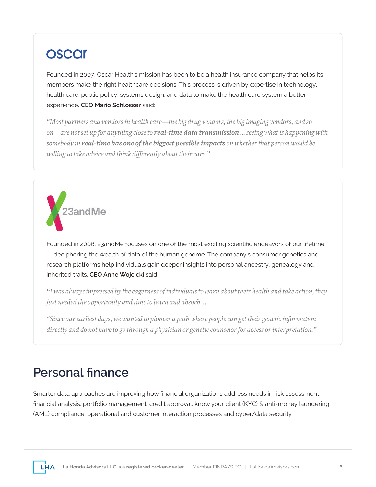### **OSCAr**

Founded in 2007, Oscar Health's mission has been to be a health insurance company that helps its members make the right healthcare decisions. This process is driven by expertise in technology, health care, public policy, systems design, and data to make the health care system a better experience. **CEO Mario Schlosser** said:

*"Most partners and vendors in health care—the big drug vendors, the big imaging vendors, and so on—are not set up for anything close to real-time data transmission … seeing what is happening with somebody in real-time has one of the biggest possible impacts on whether that person would be willing to take advice and think differently about their care."*



Founded in 2006, 23andMe focuses on one of the most exciting scientific endeavors of our lifetime — deciphering the wealth of data of the human genome. The company's consumer genetics and research platforms help individuals gain deeper insights into personal ancestry, genealogy and inherited traits. **CEO Anne Wojcicki** said:

*"I was always impressed by the eagerness of individuals to learn about their health and take action, they just needed the opportunity and time to learn and absorb …* 

*"Since our earliest days, we wanted to pioneer a path where people can get their genetic information directly and do not have to go through a physician or genetic counselor for access or interpretation."*

#### **Personal finance**

Smarter data approaches are improving how financial organizations address needs in risk assessment, financial analysis, portfolio management, credit approval, know your client (KYC) & anti-money laundering (AML) compliance, operational and customer interaction processes and cyber/data security.

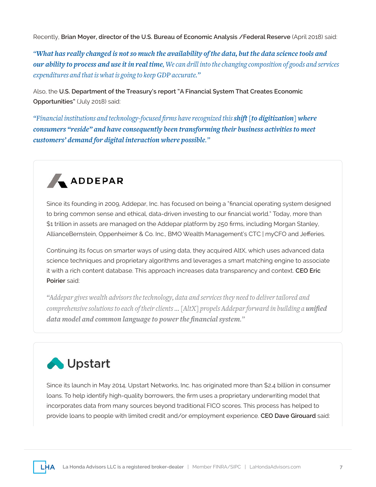Recently, **Brian Moyer, director of the U.S. Bureau of Economic Analysis /Federal Reserve** (April 2018) said:

*"What has really changed is not so much the availability of the data, but the data science tools and our ability to process and use it in real time, We can drill into the changing composition of goods and services expenditures and that is what is going to keep GDP accurate."*

Also, the **U.S. Department of the Treasury's report "A Financial System That Creates Economic Opportunities"** (July 2018) said:

*"Financial institutions and technology-focused firms have recognized this shift [to digitization] where consumers "reside" and have consequently been transforming their business activities to meet customers' demand for digital interaction where possible."*



Since its founding in 2009, Addepar, Inc. has focused on being a "financial operating system designed to bring common sense and ethical, data-driven investing to our financial world." Today, more than \$1 trillion in assets are managed on the Addepar platform by 250 firms, including Morgan Stanley, AllianceBernstein, Oppenheimer & Co. Inc., BMO Wealth Management's CTC | myCFO and Jefferies.

Continuing its focus on smarter ways of using data, they acquired AltX, which uses advanced data science techniques and proprietary algorithms and leverages a smart matching engine to associate it with a rich content database. This approach increases data transparency and context. **CEO Eric Poirier** said:

*"Addepar gives wealth advisors the technology, data and services they need to deliver tailored and comprehensive solutions to each of their clients ...* [AltX] propels Addepar forward in building a **unified** *data model and common language to power the financial system."* 

### Upstart

Since its launch in May 2014, Upstart Networks, Inc. has originated more than \$2.4 billion in consumer loans. To help identify high-quality borrowers, the firm uses a proprietary underwriting model that incorporates data from many sources beyond traditional FICO scores. This process has helped to provide loans to people with limited credit and/or employment experience. **CEO Dave Girouard** said: